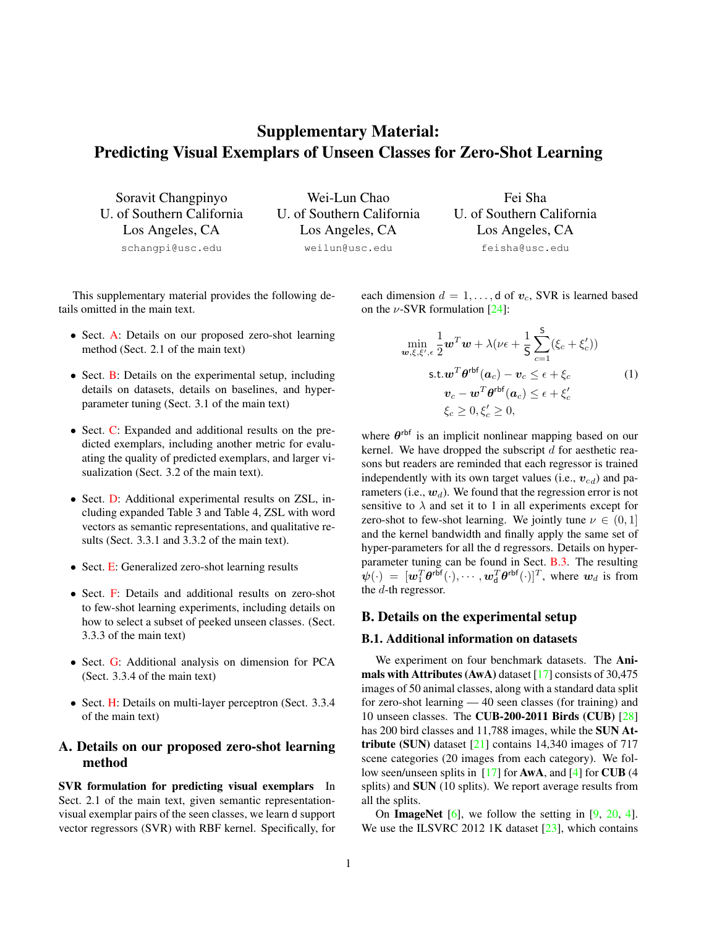# <span id="page-0-2"></span>Supplementary Material: Predicting Visual Exemplars of Unseen Classes for Zero-Shot Learning

Soravit Changpinyo U. of Southern California Los Angeles, CA schangpi@usc.edu

Wei-Lun Chao U. of Southern California Los Angeles, CA weilun@usc.edu

Fei Sha U. of Southern California Los Angeles, CA feisha@usc.edu

This supplementary material provides the following details omitted in the main text.

- Sect. [A:](#page-0-0) Details on our proposed zero-shot learning method (Sect. 2.1 of the main text)
- Sect. **B**: Details on the experimental setup, including details on datasets, details on baselines, and hyperparameter tuning (Sect. 3.1 of the main text)
- Sect. [C:](#page-1-0) Expanded and additional results on the predicted exemplars, including another metric for evaluating the quality of predicted exemplars, and larger visualization (Sect. 3.2 of the main text).
- Sect. [D:](#page-2-0) Additional experimental results on ZSL, including expanded Table 3 and Table 4, ZSL with word vectors as semantic representations, and qualitative results (Sect. 3.3.1 and 3.3.2 of the main text).
- Sect. [E:](#page-4-0) Generalized zero-shot learning results
- Sect. [F:](#page-6-0) Details and additional results on zero-shot to few-shot learning experiments, including details on how to select a subset of peeked unseen classes. (Sect. 3.3.3 of the main text)
- Sect. [G:](#page-9-0) Additional analysis on dimension for PCA (Sect. 3.3.4 of the main text)
- Sect. [H:](#page-9-1) Details on multi-layer perceptron (Sect. 3.3.4) of the main text)

# <span id="page-0-0"></span>A. Details on our proposed zero-shot learning method

SVR formulation for predicting visual exemplars In Sect. 2.1 of the main text, given semantic representationvisual exemplar pairs of the seen classes, we learn d support vector regressors (SVR) with RBF kernel. Specifically, for

each dimension  $d = 1, \ldots, d$  of  $v_c$ , SVR is learned based on the  $\nu$ -SVR formulation [\[24\]](#page-11-0):

$$
\min_{\mathbf{w}, \xi, \xi', \epsilon} \frac{1}{2} \mathbf{w}^T \mathbf{w} + \lambda (\nu \epsilon + \frac{1}{5} \sum_{c=1}^5 (\xi_c + \xi'_c))
$$
\n
$$
\text{s.t.} \mathbf{w}^T \boldsymbol{\theta}^{\text{rbf}}(\mathbf{a}_c) - \mathbf{v}_c \le \epsilon + \xi_c \tag{1}
$$
\n
$$
\mathbf{v}_c - \mathbf{w}^T \boldsymbol{\theta}^{\text{rbf}}(\mathbf{a}_c) \le \epsilon + \xi'_c
$$
\n
$$
\xi_c \ge 0, \xi'_c \ge 0,
$$

where  $\theta^{\text{rbf}}$  is an implicit nonlinear mapping based on our kernel. We have dropped the subscript  $d$  for aesthetic reasons but readers are reminded that each regressor is trained independently with its own target values (i.e.,  $v_{cd}$ ) and parameters (i.e.,  $w_d$ ). We found that the regression error is not sensitive to  $\lambda$  and set it to 1 in all experiments except for zero-shot to few-shot learning. We jointly tune  $\nu \in (0,1]$ and the kernel bandwidth and finally apply the same set of hyper-parameters for all the d regressors. Details on hyperparameter tuning can be found in Sect. [B.3.](#page-1-1) The resulting  $\psi(\cdot) = [\boldsymbol{w}_1^T \boldsymbol{\theta}^{\text{rbf}}(\cdot), \cdots, \boldsymbol{w}_d^T \boldsymbol{\theta}^{\text{rbf}}(\cdot)]^T$ , where  $\boldsymbol{w}_d$  is from the d-th regressor.

# <span id="page-0-1"></span>B. Details on the experimental setup

#### B.1. Additional information on datasets

We experiment on four benchmark datasets. The **Ani**mals with Attributes (AwA) dataset [\[17\]](#page-11-1) consists of 30,475 images of 50 animal classes, along with a standard data split for zero-shot learning — 40 seen classes (for training) and 10 unseen classes. The CUB-200-2011 Birds (CUB) [\[28\]](#page-11-2) has 200 bird classes and 11,788 images, while the SUN Attribute (SUN) dataset  $[21]$  contains 14,340 images of 717 scene categories (20 images from each category). We follow seen/unseen splits in [\[17\]](#page-11-1) for AwA, and [\[4\]](#page-11-4) for CUB (4 splits) and SUN (10 splits). We report average results from all the splits.

On ImageNet  $[6]$ , we follow the setting in  $[9, 20, 4]$  $[9, 20, 4]$  $[9, 20, 4]$  $[9, 20, 4]$  $[9, 20, 4]$ . We use the ILSVRC 2012 1K dataset [\[23\]](#page-11-8), which contains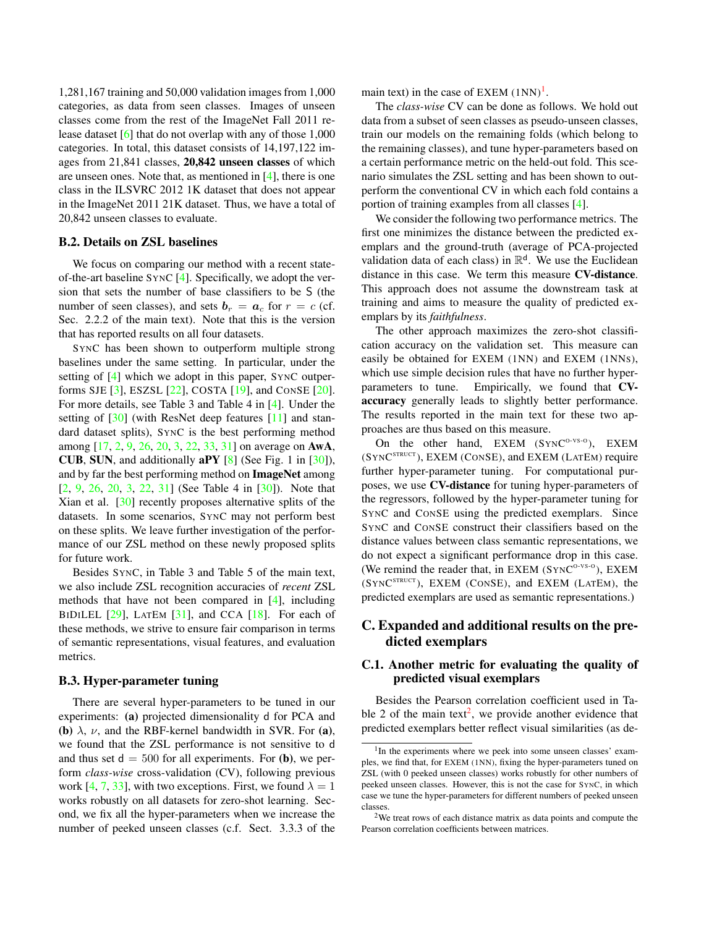<span id="page-1-5"></span>1,281,167 training and 50,000 validation images from 1,000 categories, as data from seen classes. Images of unseen classes come from the rest of the ImageNet Fall 2011 release dataset [\[6\]](#page-11-5) that do not overlap with any of those 1,000 categories. In total, this dataset consists of 14,197,122 images from 21,841 classes, 20,842 unseen classes of which are unseen ones. Note that, as mentioned in [\[4\]](#page-11-4), there is one class in the ILSVRC 2012 1K dataset that does not appear in the ImageNet 2011 21K dataset. Thus, we have a total of 20,842 unseen classes to evaluate.

#### <span id="page-1-4"></span>B.2. Details on ZSL baselines

We focus on comparing our method with a recent stateof-the-art baseline SYNC [\[4\]](#page-11-4). Specifically, we adopt the version that sets the number of base classifiers to be S (the number of seen classes), and sets  $\mathbf{b}_r = \mathbf{a}_c$  for  $r = c$  (cf. Sec. 2.2.2 of the main text). Note that this is the version that has reported results on all four datasets.

SYNC has been shown to outperform multiple strong baselines under the same setting. In particular, under the setting of [\[4\]](#page-11-4) which we adopt in this paper, SYNC outperforms SJE [\[3\]](#page-11-9), ESZSL [\[22\]](#page-11-10), COSTA [\[19\]](#page-11-11), and CONSE [\[20\]](#page-11-7). For more details, see Table 3 and Table 4 in [\[4\]](#page-11-4). Under the setting of  $[30]$  (with ResNet deep features [\[11\]](#page-11-12) and standard dataset splits), SYNC is the best performing method among [\[17,](#page-11-1) [2,](#page-11-13) [9,](#page-11-6) [26,](#page-11-14) [20,](#page-11-7) [3,](#page-11-9) [22,](#page-11-10) [33,](#page-12-1) [31\]](#page-12-2) on average on AwA, CUB, SUN, and additionally aPY [\[8\]](#page-11-15) (See Fig. 1 in [\[30\]](#page-12-0)), and by far the best performing method on ImageNet among [\[2,](#page-11-13) [9,](#page-11-6) [26,](#page-11-14) [20,](#page-11-7) [3,](#page-11-9) [22,](#page-11-10) [31\]](#page-12-2) (See Table 4 in [\[30\]](#page-12-0)). Note that Xian et al. [\[30\]](#page-12-0) recently proposes alternative splits of the datasets. In some scenarios, SYNC may not perform best on these splits. We leave further investigation of the performance of our ZSL method on these newly proposed splits for future work.

Besides SYNC, in Table 3 and Table 5 of the main text, we also include ZSL recognition accuracies of *recent* ZSL methods that have not been compared in [\[4\]](#page-11-4), including BIDILEL  $[29]$ , LATEM  $[31]$ , and CCA  $[18]$ . For each of these methods, we strive to ensure fair comparison in terms of semantic representations, visual features, and evaluation metrics.

#### <span id="page-1-1"></span>B.3. Hyper-parameter tuning

There are several hyper-parameters to be tuned in our experiments: (a) projected dimensionality d for PCA and (b)  $\lambda$ ,  $\nu$ , and the RBF-kernel bandwidth in SVR. For (a), we found that the ZSL performance is not sensitive to d and thus set  $d = 500$  for all experiments. For (b), we perform *class-wise* cross-validation (CV), following previous work [\[4,](#page-11-4) [7,](#page-11-18) [33\]](#page-12-1), with two exceptions. First, we found  $\lambda = 1$ works robustly on all datasets for zero-shot learning. Second, we fix all the hyper-parameters when we increase the number of peeked unseen classes (c.f. Sect. 3.3.3 of the main text) in the case of  $EXEM (1NN)^1$  $EXEM (1NN)^1$  $EXEM (1NN)^1$ .

The *class-wise* CV can be done as follows. We hold out data from a subset of seen classes as pseudo-unseen classes, train our models on the remaining folds (which belong to the remaining classes), and tune hyper-parameters based on a certain performance metric on the held-out fold. This scenario simulates the ZSL setting and has been shown to outperform the conventional CV in which each fold contains a portion of training examples from all classes [\[4\]](#page-11-4).

We consider the following two performance metrics. The first one minimizes the distance between the predicted exemplars and the ground-truth (average of PCA-projected validation data of each class) in  $\mathbb{R}^d$ . We use the Euclidean distance in this case. We term this measure CV-distance. This approach does not assume the downstream task at training and aims to measure the quality of predicted exemplars by its *faithfulness*.

The other approach maximizes the zero-shot classification accuracy on the validation set. This measure can easily be obtained for EXEM (1NN) and EXEM (1NNS), which use simple decision rules that have no further hyperparameters to tune. Empirically, we found that CVaccuracy generally leads to slightly better performance. The results reported in the main text for these two approaches are thus based on this measure.

On the other hand, EXEM (SYNC<sup>O-VS-O</sup>), EXEM (SYNC STRUCT ), EXEM (CONSE), and EXEM (LATEM) require further hyper-parameter tuning. For computational purposes, we use CV-distance for tuning hyper-parameters of the regressors, followed by the hyper-parameter tuning for SYNC and CONSE using the predicted exemplars. Since SYNC and CONSE construct their classifiers based on the distance values between class semantic representations, we do not expect a significant performance drop in this case. (We remind the reader that, in EXEM  $(SYNC<sup>o-vs-o</sup>)$ , EXEM (SYNC STRUCT ), EXEM (CONSE), and EXEM (LATEM), the predicted exemplars are used as semantic representations.)

# <span id="page-1-0"></span>C. Expanded and additional results on the predicted exemplars

# C.1. Another metric for evaluating the quality of predicted visual exemplars

Besides the Pearson correlation coefficient used in Ta-ble [2](#page-1-3) of the main text<sup>2</sup>, we provide another evidence that predicted exemplars better reflect visual similarities (as de-

<span id="page-1-2"></span><sup>&</sup>lt;sup>1</sup>In the experiments where we peek into some unseen classes' examples, we find that, for EXEM (1NN), fixing the hyper-parameters tuned on ZSL (with 0 peeked unseen classes) works robustly for other numbers of peeked unseen classes. However, this is not the case for SYNC, in which case we tune the hyper-parameters for different numbers of peeked unseen classes.

<span id="page-1-3"></span><sup>2</sup>We treat rows of each distance matrix as data points and compute the Pearson correlation coefficients between matrices.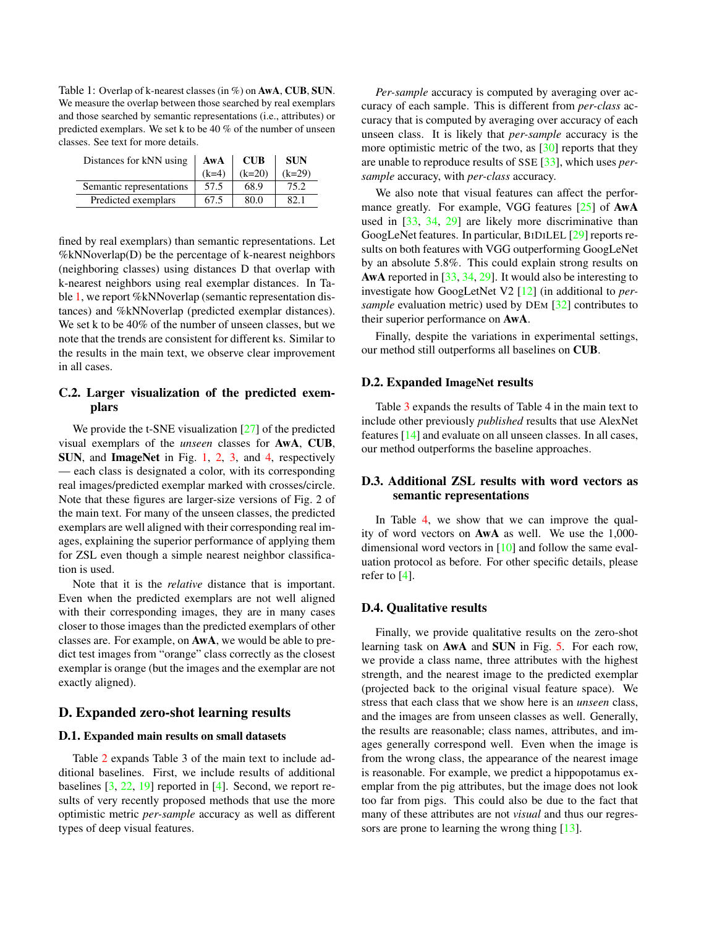<span id="page-2-2"></span><span id="page-2-1"></span>Table 1: Overlap of k-nearest classes (in %) on AwA, CUB, SUN. We measure the overlap between those searched by real exemplars and those searched by semantic representations (i.e., attributes) or predicted exemplars. We set k to be 40 % of the number of unseen classes. See text for more details.

| Distances for kNN using  | AwA     | <b>CUB</b> | <b>SUN</b> |
|--------------------------|---------|------------|------------|
|                          | $(k=4)$ | $(k=20)$   | $(k=29)$   |
| Semantic representations | 57.5    | 68.9       | 75.2       |
| Predicted exemplars      | 67.5    | 80.0       | 82. I      |

fined by real exemplars) than semantic representations. Let  $%$ kNNoverlap(D) be the percentage of k-nearest neighbors (neighboring classes) using distances D that overlap with k-nearest neighbors using real exemplar distances. In Ta-ble [1,](#page-2-1) we report %kNNoverlap (semantic representation distances) and %kNNoverlap (predicted exemplar distances). We set k to be 40% of the number of unseen classes, but we note that the trends are consistent for different ks. Similar to the results in the main text, we observe clear improvement in all cases.

# C.2. Larger visualization of the predicted exemplars

We provide the t-SNE visualization [\[27\]](#page-11-19) of the predicted visual exemplars of the *unseen* classes for AwA, CUB, SUN, and ImageNet in Fig. [1,](#page-4-1) [2,](#page-4-2) [3,](#page-5-0) and [4,](#page-5-1) respectively — each class is designated a color, with its corresponding real images/predicted exemplar marked with crosses/circle. Note that these figures are larger-size versions of Fig. 2 of the main text. For many of the unseen classes, the predicted exemplars are well aligned with their corresponding real images, explaining the superior performance of applying them for ZSL even though a simple nearest neighbor classification is used.

Note that it is the *relative* distance that is important. Even when the predicted exemplars are not well aligned with their corresponding images, they are in many cases closer to those images than the predicted exemplars of other classes are. For example, on AwA, we would be able to predict test images from "orange" class correctly as the closest exemplar is orange (but the images and the exemplar are not exactly aligned).

### <span id="page-2-0"></span>D. Expanded zero-shot learning results

#### D.1. Expanded main results on small datasets

Table [2](#page-3-0) expands Table 3 of the main text to include additional baselines. First, we include results of additional baselines  $[3, 22, 19]$  $[3, 22, 19]$  $[3, 22, 19]$  $[3, 22, 19]$  $[3, 22, 19]$  reported in  $[4]$ . Second, we report results of very recently proposed methods that use the more optimistic metric *per-sample* accuracy as well as different types of deep visual features.

*Per-sample* accuracy is computed by averaging over accuracy of each sample. This is different from *per-class* accuracy that is computed by averaging over accuracy of each unseen class. It is likely that *per-sample* accuracy is the more optimistic metric of the two, as  $[30]$  reports that they are unable to reproduce results of SSE [\[33\]](#page-12-1), which uses *persample* accuracy, with *per-class* accuracy.

We also note that visual features can affect the performance greatly. For example, VGG features  $[25]$  of AwA used in [\[33,](#page-12-1) [34,](#page-12-3) [29\]](#page-11-16) are likely more discriminative than GoogLeNet features. In particular, BIDILEL [\[29\]](#page-11-16) reports results on both features with VGG outperforming GoogLeNet by an absolute 5.8%. This could explain strong results on AwA reported in [\[33,](#page-12-1) [34,](#page-12-3) [29\]](#page-11-16). It would also be interesting to investigate how GoogLetNet V2 [\[12\]](#page-11-21) (in additional to *persample* evaluation metric) used by DEM [\[32\]](#page-12-4) contributes to their superior performance on AwA.

Finally, despite the variations in experimental settings, our method still outperforms all baselines on CUB.

### D.2. Expanded ImageNet results

Table [3](#page-3-1) expands the results of Table 4 in the main text to include other previously *published* results that use AlexNet features [\[14\]](#page-11-22) and evaluate on all unseen classes. In all cases, our method outperforms the baseline approaches.

# D.3. Additional ZSL results with word vectors as semantic representations

In Table [4,](#page-6-1) we show that we can improve the quality of word vectors on AwA as well. We use the 1,000 dimensional word vectors in [\[10\]](#page-11-23) and follow the same evaluation protocol as before. For other specific details, please refer to [\[4\]](#page-11-4).

#### D.4. Qualitative results

Finally, we provide qualitative results on the zero-shot learning task on AwA and SUN in Fig. [5.](#page-6-2) For each row, we provide a class name, three attributes with the highest strength, and the nearest image to the predicted exemplar (projected back to the original visual feature space). We stress that each class that we show here is an *unseen* class, and the images are from unseen classes as well. Generally, the results are reasonable; class names, attributes, and images generally correspond well. Even when the image is from the wrong class, the appearance of the nearest image is reasonable. For example, we predict a hippopotamus exemplar from the pig attributes, but the image does not look too far from pigs. This could also be due to the fact that many of these attributes are not *visual* and thus our regressors are prone to learning the wrong thing  $[13]$ .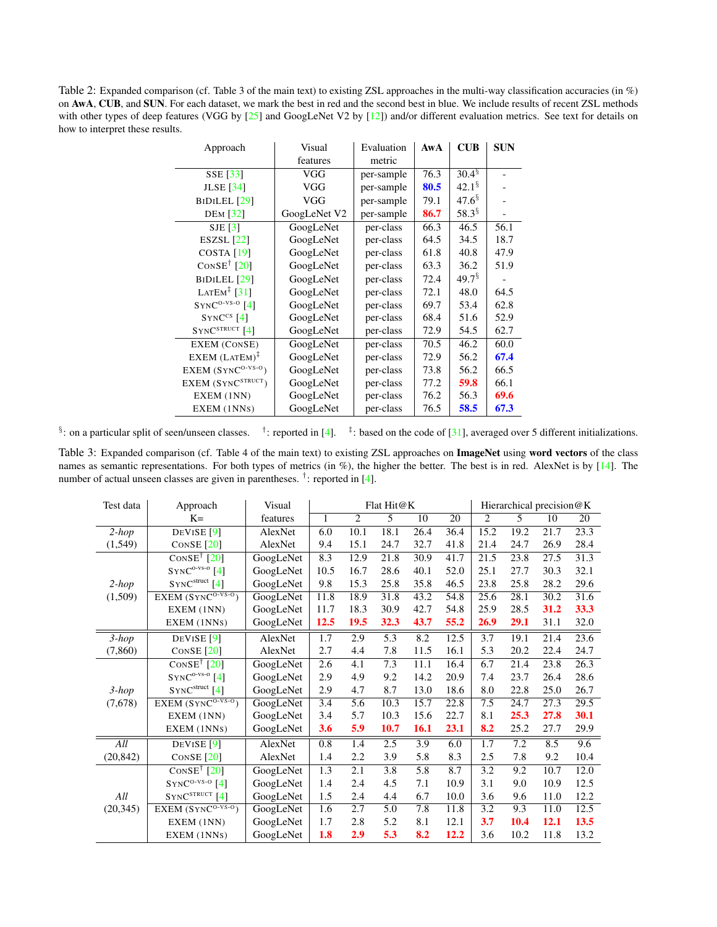<span id="page-3-2"></span><span id="page-3-0"></span>Table 2: Expanded comparison (cf. Table 3 of the main text) to existing ZSL approaches in the multi-way classification accuracies (in %) on AwA, CUB, and SUN. For each dataset, we mark the best in red and the second best in blue. We include results of recent ZSL methods with other types of deep features (VGG by [\[25\]](#page-11-20) and GoogLeNet V2 by [\[12\]](#page-11-21)) and/or different evaluation metrics. See text for details on how to interpret these results.

| Approach                                       | Visual       | Evaluation | AwA  | $\mathbf{C} \mathbf{U} \mathbf{B}$ | <b>SUN</b> |
|------------------------------------------------|--------------|------------|------|------------------------------------|------------|
|                                                | features     | metric     |      |                                    |            |
| SSE [33]                                       | VGG          | per-sample | 76.3 | $30.\overline{4^{8}}$              |            |
| <b>JLSE</b> [34]                               | VGG          | per-sample | 80.5 | $42.1^{\frac{6}{3}}$               |            |
| BIDILEL <sup>[29]</sup>                        | VGG          | per-sample | 79.1 | $47.6^{\S}$                        |            |
| <b>DEM</b> [32]                                | GoogLeNet V2 | per-sample | 86.7 | 58.3 <sup>§</sup>                  |            |
| $SJE$ [3]                                      | GoogLeNet    | per-class  | 66.3 | 46.5                               | 56.1       |
| ESZSL $[22]$                                   | GoogLeNet    | per-class  | 64.5 | 34.5                               | 18.7       |
| COSTA <sub>[19]</sub>                          | GoogLeNet    | per-class  | 61.8 | 40.8                               | 47.9       |
| CONSE <sup><math>\dagger</math></sup> [20]     | GoogLeNet    | per-class  | 63.3 | 36.2                               | 51.9       |
| BIDILEL <sup>[29]</sup>                        | GoogLeNet    | per-class  | 72.4 | $49.7^{\frac{8}{3}}$               |            |
| LATEM <sup><math>\frac{1}{2}</math></sup> [31] | GoogLeNet    | per-class  | 72.1 | 48.0                               | 64.5       |
| $SYNC^{O-VS-O}$ [4]                            | GoogLeNet    | per-class  | 69.7 | 53.4                               | 62.8       |
| $SYNCcs$ [4]                                   | GoogLeNet    | per-class  | 68.4 | 51.6                               | 52.9       |
| $SYNC^{STRUCT}$ [4]                            | GoogLeNet    | per-class  | 72.9 | 54.5                               | 62.7       |
| EXEM (CONSE)                                   | GoogLeNet    | per-class  | 70.5 | 46.2                               | 60.0       |
| $EXEM (LATEM)^{T}$                             | GoogLeNet    | per-class  | 72.9 | 56.2                               | 67.4       |
| $EXEM$ (SYNC <sup>O-VS-O</sup> )               | GoogLeNet    | per-class  | 73.8 | 56.2                               | 66.5       |
| EXEM (SYNC <sup>STRUCT</sup> )                 | GoogLeNet    | per-class  | 77.2 | 59.8                               | 66.1       |
| EXEM (1NN)                                     | GoogLeNet    | per-class  | 76.2 | 56.3                               | 69.6       |
| EXEM (1NNs)                                    | GoogLeNet    | per-class  | 76.5 | 58.5                               | 67.3       |

<sup>§</sup>: on a particular split of seen/unseen classes. <sup>†</sup>: reported in [\[4\]](#page-11-4). <sup>‡</sup>: based on the code of [\[31\]](#page-12-2), averaged over 5 different initializations.

<span id="page-3-1"></span>Table 3: Expanded comparison (cf. Table 4 of the main text) to existing ZSL approaches on ImageNet using word vectors of the class names as semantic representations. For both types of metrics (in %), the higher the better. The best is in red. AlexNet is by [\[14\]](#page-11-22). The number of actual unseen classes are given in parentheses. <sup>†</sup>: reported in [\[4\]](#page-11-4).

| Test data | Approach                                     | Visual    | Flat Hit@K   |                |                  |             |      | Hierarchical precision@K |      |      |      |
|-----------|----------------------------------------------|-----------|--------------|----------------|------------------|-------------|------|--------------------------|------|------|------|
|           | $K=$                                         | features  | $\mathbf{1}$ | $\overline{c}$ | 5                | 10          | 20   | 2                        | 5    | 10   | 20   |
| $2-hop$   | DEVISE $[9]$                                 | AlexNet   | 6.0          | 10.1           | 18.1             | 26.4        | 36.4 | 15.2                     | 19.2 | 21.7 | 23.3 |
| (1, 549)  | CONSE $[20]$                                 | AlexNet   | 9.4          | 15.1           | 24.7             | 32.7        | 41.8 | 21.4                     | 24.7 | 26.9 | 28.4 |
|           | $\overline{\text{Cons}}$ <sup>†</sup> [20]   | GoogLeNet | 8.3          | 12.9           | 21.8             | 30.9        | 41.7 | 21.5                     | 23.8 | 27.5 | 31.3 |
|           | $SYNC^{o-vs-0}[4]$                           | GoogLeNet | 10.5         | 16.7           | 28.6             | 40.1        | 52.0 | 25.1                     | 27.7 | 30.3 | 32.1 |
| $2-hop$   | $SYNC^{struct}$ [4]                          | GoogLeNet | 9.8          | 15.3           | 25.8             | 35.8        | 46.5 | 23.8                     | 25.8 | 28.2 | 29.6 |
| (1,509)   | $EXEM (SYNCO-VS-O)$                          | GoogLeNet | 11.8         | 18.9           | 31.8             | 43.2        | 54.8 | 25.6                     | 28.1 | 30.2 | 31.6 |
|           | EXEM (1NN)                                   | GoogLeNet | 11.7         | 18.3           | 30.9             | 42.7        | 54.8 | 25.9                     | 28.5 | 31.2 | 33.3 |
|           | EXEM (1NNs)                                  | GoogLeNet | 12.5         | 19.5           | 32.3             | 43.7        | 55.2 | 26.9                     | 29.1 | 31.1 | 32.0 |
| $3-hop$   | DEVISE <sup>[9]</sup>                        | AlexNet   | 1.7          | 2.9            | 5.3              | 8.2         | 12.5 | 3.7                      | 19.1 | 21.4 | 23.6 |
| (7, 860)  | CONSE $[20]$                                 | AlexNet   | 2.7          | 4.4            | 7.8              | 11.5        | 16.1 | 5.3                      | 20.2 | 22.4 | 24.7 |
|           | CONSE <sup><math>\dagger</math></sup> [20]   | GoogLeNet | 2.6          | 4.1            | 7.3              | 11.1        | 16.4 | 6.7                      | 21.4 | 23.8 | 26.3 |
|           | $SYNC^{o-vs-0}[4]$                           | GoogLeNet | 2.9          | 4.9            | 9.2              | 14.2        | 20.9 | 7.4                      | 23.7 | 26.4 | 28.6 |
| $3-hop$   | $SYNC^{struct}$ [4]                          | GoogLeNet | 2.9          | 4.7            | 8.7              | 13.0        | 18.6 | 8.0                      | 22.8 | 25.0 | 26.7 |
| (7,678)   | EXEM $(SYNCO-VS-O)$                          | GoogLeNet | 3.4          | 5.6            | 10.3             | 15.7        | 22.8 | 7.5                      | 24.7 | 27.3 | 29.5 |
|           | EXEM (1NN)                                   | GoogLeNet | 3.4          | 5.7            | 10.3             | 15.6        | 22.7 | 8.1                      | 25.3 | 27.8 | 30.1 |
|           | EXEM (1NNs)                                  | GoogLeNet | 3.6          | 5.9            | 10.7             | <b>16.1</b> | 23.1 | 8.2                      | 25.2 | 27.7 | 29.9 |
| All       | DEVISE <sup>[9]</sup>                        | AlexNet   | 0.8          | 1.4            | 2.5              | 3.9         | 6.0  | 1.7                      | 7.2  | 8.5  | 9.6  |
| (20, 842) | CONSE $[20]$                                 | AlexNet   | 1.4          | 2.2            | 3.9              | 5.8         | 8.3  | 2.5                      | 7.8  | 9.2  | 10.4 |
|           | $\overline{\text{Cons}\text{E}^\dagger$ [20] | GoogLeNet | 1.3          | 2.1            | 3.8              | 5.8         | 8.7  | 3.2                      | 9.2  | 10.7 | 12.0 |
|           | $SYNC^{O-VS-O}$ [4]                          | GoogLeNet | 1.4          | 2.4            | 4.5              | 7.1         | 10.9 | 3.1                      | 9.0  | 10.9 | 12.5 |
| All       | $SYNC^{STRUCT}$ [4]                          | GoogLeNet | 1.5          | 2.4            | 4.4              | 6.7         | 10.0 | 3.6                      | 9.6  | 11.0 | 12.2 |
| (20, 345) | $EXEM (SYNCO-VS-O)$                          | GoogLeNet | 1.6          | 2.7            | $\overline{5.0}$ | 7.8         | 11.8 | 3.2                      | 9.3  | 11.0 | 12.5 |
|           | EXEM (1NN)                                   | GoogLeNet | 1.7          | 2.8            | 5.2              | 8.1         | 12.1 | 3.7                      | 10.4 | 12.1 | 13.5 |
|           | EXEM (1NNs)                                  | GoogLeNet | 1.8          | 2.9            | 5.3              | 8.2         | 12.2 | 3.6                      | 10.2 | 11.8 | 13.2 |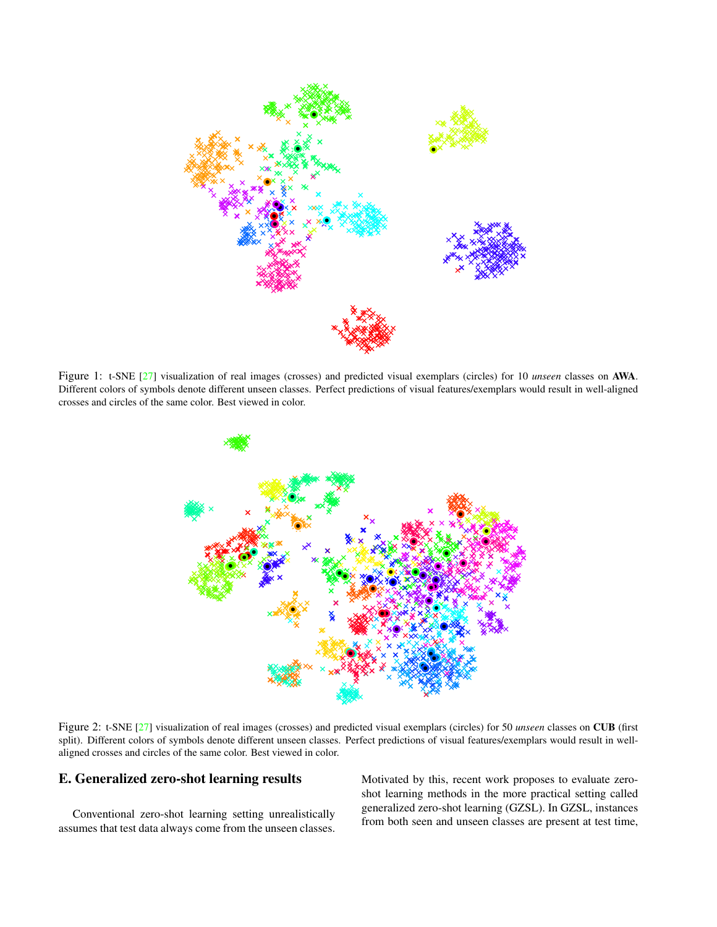<span id="page-4-3"></span><span id="page-4-1"></span>

<span id="page-4-2"></span>Figure 1: t-SNE [\[27\]](#page-11-19) visualization of real images (crosses) and predicted visual exemplars (circles) for 10 *unseen* classes on AWA. Different colors of symbols denote different unseen classes. Perfect predictions of visual features/exemplars would result in well-aligned crosses and circles of the same color. Best viewed in color.



Figure 2: t-SNE [\[27\]](#page-11-19) visualization of real images (crosses) and predicted visual exemplars (circles) for 50 *unseen* classes on CUB (first split). Different colors of symbols denote different unseen classes. Perfect predictions of visual features/exemplars would result in wellaligned crosses and circles of the same color. Best viewed in color.

# <span id="page-4-0"></span>E. Generalized zero-shot learning results

Conventional zero-shot learning setting unrealistically assumes that test data always come from the unseen classes. Motivated by this, recent work proposes to evaluate zeroshot learning methods in the more practical setting called generalized zero-shot learning (GZSL). In GZSL, instances from both seen and unseen classes are present at test time,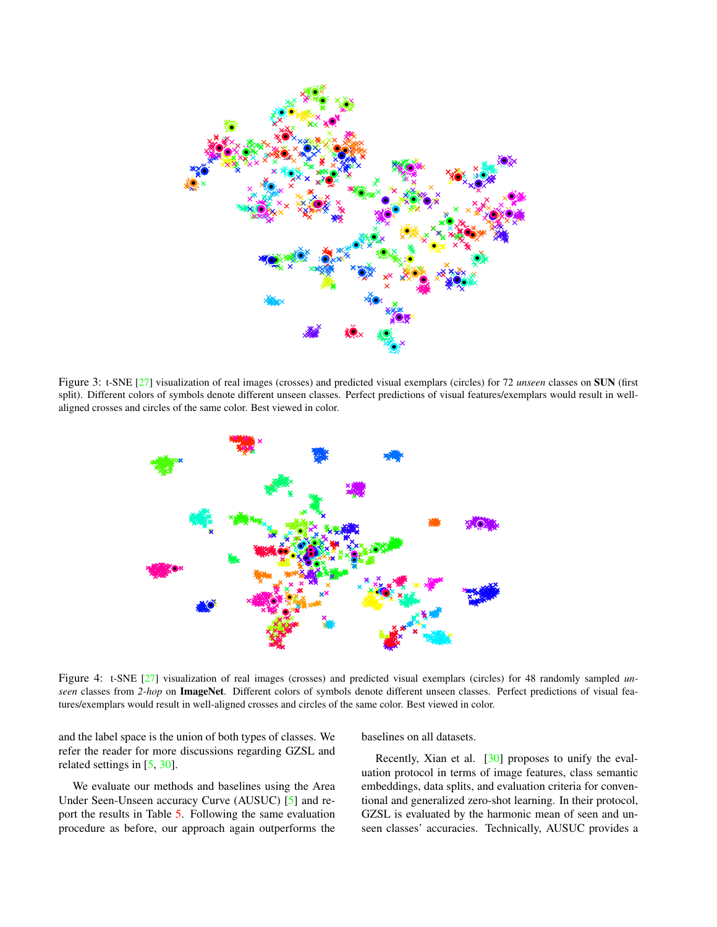<span id="page-5-2"></span><span id="page-5-0"></span>

<span id="page-5-1"></span>Figure 3: t-SNE [\[27\]](#page-11-19) visualization of real images (crosses) and predicted visual exemplars (circles) for 72 *unseen* classes on SUN (first split). Different colors of symbols denote different unseen classes. Perfect predictions of visual features/exemplars would result in wellaligned crosses and circles of the same color. Best viewed in color.



Figure 4: t-SNE [\[27\]](#page-11-19) visualization of real images (crosses) and predicted visual exemplars (circles) for 48 randomly sampled *unseen* classes from *2-hop* on ImageNet. Different colors of symbols denote different unseen classes. Perfect predictions of visual features/exemplars would result in well-aligned crosses and circles of the same color. Best viewed in color.

and the label space is the union of both types of classes. We refer the reader for more discussions regarding GZSL and related settings in [\[5,](#page-11-25) [30\]](#page-12-0).

We evaluate our methods and baselines using the Area Under Seen-Unseen accuracy Curve (AUSUC) [\[5\]](#page-11-25) and report the results in Table [5.](#page-6-3) Following the same evaluation procedure as before, our approach again outperforms the baselines on all datasets.

Recently, Xian et al.  $\left[30\right]$  proposes to unify the evaluation protocol in terms of image features, class semantic embeddings, data splits, and evaluation criteria for conventional and generalized zero-shot learning. In their protocol, GZSL is evaluated by the harmonic mean of seen and unseen classes' accuracies. Technically, AUSUC provides a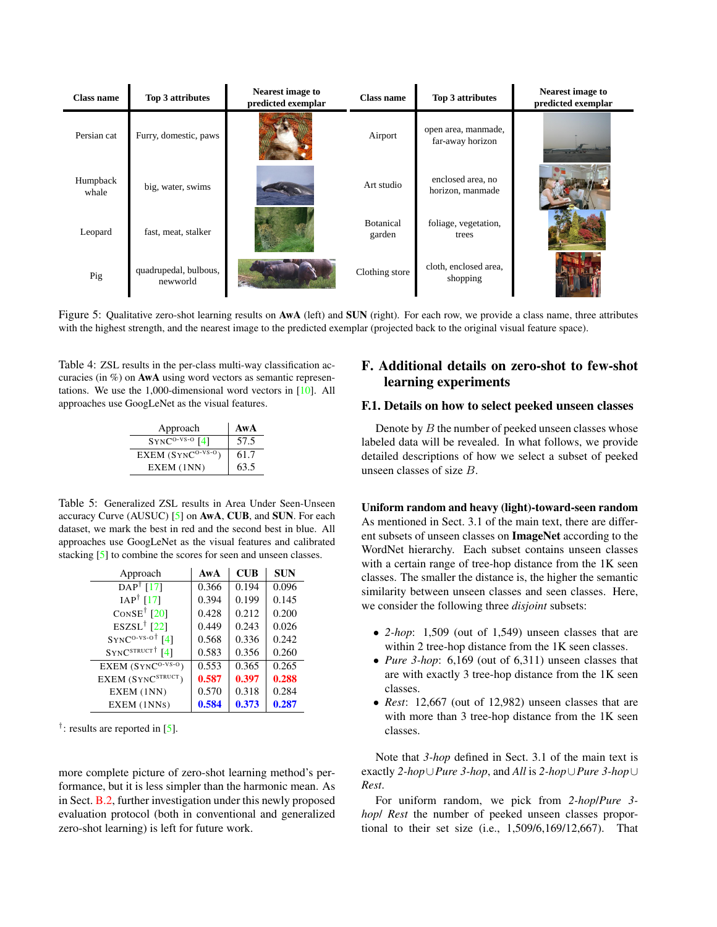<span id="page-6-5"></span><span id="page-6-2"></span>

| <b>Class name</b> | Top 3 attributes                  | <b>Nearest image to</b><br>predicted exemplar | <b>Class name</b>          | Top 3 attributes                        | <b>Nearest image to</b><br>predicted exemplar |
|-------------------|-----------------------------------|-----------------------------------------------|----------------------------|-----------------------------------------|-----------------------------------------------|
| Persian cat       | Furry, domestic, paws             |                                               | Airport                    | open area, manmade,<br>far-away horizon |                                               |
| Humpback<br>whale | big, water, swims                 |                                               | Art studio                 | enclosed area, no<br>horizon, manmade   |                                               |
| Leopard           | fast, meat, stalker               |                                               | <b>Botanical</b><br>garden | foliage, vegetation,<br>trees           |                                               |
| Pig               | quadrupedal, bulbous,<br>newworld |                                               | Clothing store             | cloth, enclosed area,<br>shopping       |                                               |

Figure 5: Qualitative zero-shot learning results on AwA (left) and SUN (right). For each row, we provide a class name, three attributes with the highest strength, and the nearest image to the predicted exemplar (projected back to the original visual feature space).

<span id="page-6-1"></span>Table 4: ZSL results in the per-class multi-way classification accuracies (in %) on AwA using word vectors as semantic representations. We use the 1,000-dimensional word vectors in [\[10\]](#page-11-23). All approaches use GoogLeNet as the visual features.

| Approach               | AwA  |
|------------------------|------|
| $SYNC^{O-VS-O}$ [4]    | 57.5 |
| EXEM $(SYNC^{O-VS-O})$ | 61.7 |
| EXEM (1NN)             | 63.5 |

<span id="page-6-3"></span>Table 5: Generalized ZSL results in Area Under Seen-Unseen accuracy Curve (AUSUC) [\[5\]](#page-11-25) on AwA, CUB, and SUN. For each dataset, we mark the best in red and the second best in blue. All approaches use GoogLeNet as the visual features and calibrated stacking [\[5\]](#page-11-25) to combine the scores for seen and unseen classes.

| Approach                                   | AwA   | <b>CUB</b> | <b>SUN</b> |
|--------------------------------------------|-------|------------|------------|
| DAP <sup>†</sup> [17]                      | 0.366 | 0.194      | 0.096      |
| $IAP^{\dagger}$ [17]                       | 0.394 | 0.199      | 0.145      |
| CONSE <sup><math>\dagger</math></sup> [20] | 0.428 | 0.212      | 0.200      |
| $ESZSL^{\dagger}$ [22]                     | 0.449 | 0.243      | 0.026      |
| $SYNC^{O-VS-O^{\dagger}}$ [4]              | 0.568 | 0.336      | 0.242      |
| $SYNC^{STRUCT}$ [4]                        | 0.583 | 0.356      | 0.260      |
| $EXEM(SYNC0-VS-0)$                         | 0.553 | 0.365      | 0.265      |
| EXEM (SYNC <sup>STRUCT</sup> )             | 0.587 | 0.397      | 0.288      |
| EXEM (1NN)                                 | 0.570 | 0.318      | 0.284      |
| EXEM (1NNs)                                | 0.584 | 0.373      | 0.287      |

<sup>†</sup>: results are reported in [\[5\]](#page-11-25).

more complete picture of zero-shot learning method's performance, but it is less simpler than the harmonic mean. As in Sect. [B.2,](#page-1-4) further investigation under this newly proposed evaluation protocol (both in conventional and generalized zero-shot learning) is left for future work.

# <span id="page-6-0"></span>F. Additional details on zero-shot to few-shot learning experiments

# <span id="page-6-4"></span>F.1. Details on how to select peeked unseen classes

Denote by  $B$  the number of peeked unseen classes whose labeled data will be revealed. In what follows, we provide detailed descriptions of how we select a subset of peeked unseen classes of size B.

Uniform random and heavy (light)-toward-seen random As mentioned in Sect. 3.1 of the main text, there are different subsets of unseen classes on ImageNet according to the WordNet hierarchy. Each subset contains unseen classes with a certain range of tree-hop distance from the 1K seen classes. The smaller the distance is, the higher the semantic similarity between unseen classes and seen classes. Here, we consider the following three *disjoint* subsets:

- *2-hop*: 1,509 (out of 1,549) unseen classes that are within 2 tree-hop distance from the 1K seen classes.
- *Pure 3-hop*: 6,169 (out of 6,311) unseen classes that are with exactly 3 tree-hop distance from the 1K seen classes.
- *Rest*: 12,667 (out of 12,982) unseen classes that are with more than 3 tree-hop distance from the 1K seen classes.

Note that *3-hop* defined in Sect. 3.1 of the main text is exactly *2-hop*∪*Pure 3-hop*, and *All* is *2-hop*∪*Pure 3-hop*∪ *Rest*.

For uniform random, we pick from *2-hop*/*Pure 3 hop*/ *Rest* the number of peeked unseen classes proportional to their set size (i.e., 1,509/6,169/12,667). That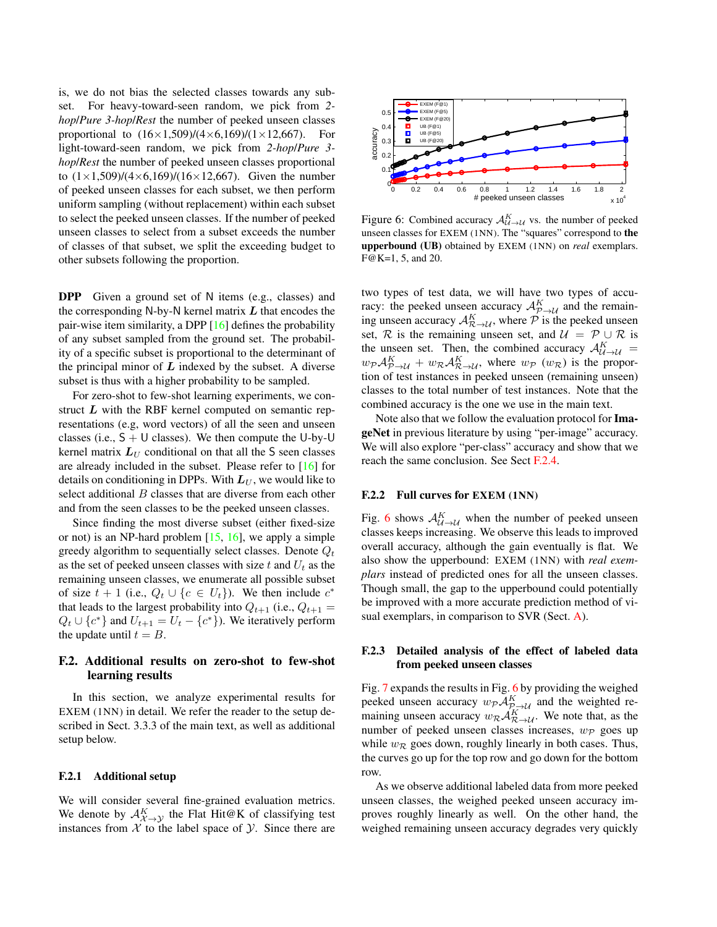<span id="page-7-1"></span>is, we do not bias the selected classes towards any subset. For heavy-toward-seen random, we pick from *2 hop*/*Pure 3-hop*/*Rest* the number of peeked unseen classes proportional to  $(16\times1,509)/(4\times6,169)/(1\times12,667)$ . For light-toward-seen random, we pick from *2-hop*/*Pure 3 hop*/*Rest* the number of peeked unseen classes proportional to  $(1 \times 1,509)/(4 \times 6,169)/(16 \times 12,667)$ . Given the number of peeked unseen classes for each subset, we then perform uniform sampling (without replacement) within each subset to select the peeked unseen classes. If the number of peeked unseen classes to select from a subset exceeds the number of classes of that subset, we split the exceeding budget to other subsets following the proportion.

DPP Given a ground set of N items (e.g., classes) and the corresponding N-by-N kernel matrix  $L$  that encodes the pair-wise item similarity, a DPP [\[16\]](#page-11-26) defines the probability of any subset sampled from the ground set. The probability of a specific subset is proportional to the determinant of the principal minor of  $L$  indexed by the subset. A diverse subset is thus with a higher probability to be sampled.

For zero-shot to few-shot learning experiments, we construct  $L$  with the RBF kernel computed on semantic representations (e.g, word vectors) of all the seen and unseen classes (i.e.,  $S + U$  classes). We then compute the U-by-U kernel matrix  $L_U$  conditional on that all the S seen classes are already included in the subset. Please refer to [\[16\]](#page-11-26) for details on conditioning in DPPs. With  $L_U$ , we would like to select additional B classes that are diverse from each other and from the seen classes to be the peeked unseen classes.

Since finding the most diverse subset (either fixed-size or not) is an NP-hard problem  $[15, 16]$  $[15, 16]$  $[15, 16]$ , we apply a simple greedy algorithm to sequentially select classes. Denote  $Q_t$ as the set of peeked unseen classes with size t and  $U_t$  as the remaining unseen classes, we enumerate all possible subset of size  $t + 1$  (i.e.,  $Q_t \cup \{c \in U_t\}$ ). We then include  $c^*$ that leads to the largest probability into  $Q_{t+1}$  (i.e.,  $Q_{t+1}$  =  $Q_t \cup \{c^*\}$  and  $U_{t+1} = U_t - \{c^*\}$ . We iteratively perform the update until  $t = B$ .

## F.2. Additional results on zero-shot to few-shot learning results

In this section, we analyze experimental results for EXEM (1NN) in detail. We refer the reader to the setup described in Sect. 3.3.3 of the main text, as well as additional setup below.

#### F.2.1 Additional setup

We will consider several fine-grained evaluation metrics. We denote by  $\mathcal{A}_{\mathcal{X}\rightarrow\mathcal{Y}}^K$  the Flat Hit@K of classifying test instances from  $X$  to the label space of  $Y$ . Since there are

<span id="page-7-0"></span>

Figure 6: Combined accuracy  $\mathcal{A}_{\mathcal{U}\to\mathcal{U}}^K$  vs. the number of peeked unseen classes for EXEM (1NN). The "squares" correspond to the upperbound (UB) obtained by EXEM (1NN) on *real* exemplars. F@K=1, 5, and 20.

two types of test data, we will have two types of accuracy: the peeked unseen accuracy  $\mathcal{A}_{\mathcal{P}\rightarrow\mathcal{U}}^{K}$  and the remaining unseen accuracy  $\mathcal{A}_{\mathcal{R}\rightarrow\mathcal{U}}^K$ , where  $\mathcal P$  is the peeked unseen set, R is the remaining unseen set, and  $\mathcal{U} = \mathcal{P} \cup \mathcal{R}$  is the unseen set. Then, the combined accuracy  $\mathcal{A}_{\mathcal{U}\to\mathcal{U}}^K$  $w_{\mathcal{P}} A_{\mathcal{P}\rightarrow\mathcal{U}}^K + w_{\mathcal{R}} A_{\mathcal{R}\rightarrow\mathcal{U}}^K$ , where  $w_{\mathcal{P}}(w_{\mathcal{R}})$  is the proportion of test instances in peeked unseen (remaining unseen) classes to the total number of test instances. Note that the combined accuracy is the one we use in the main text.

Note also that we follow the evaluation protocol for ImageNet in previous literature by using "per-image" accuracy. We will also explore "per-class" accuracy and show that we reach the same conclusion. See Sect [F.2.4.](#page-8-0)

#### F.2.2 Full curves for EXEM (1NN)

Fig. [6](#page-7-0) shows  $\mathcal{A}_{\mathcal{U}\rightarrow\mathcal{U}}^{K}$  when the number of peeked unseen classes keeps increasing. We observe this leads to improved overall accuracy, although the gain eventually is flat. We also show the upperbound: EXEM (1NN) with *real exemplars* instead of predicted ones for all the unseen classes. Though small, the gap to the upperbound could potentially be improved with a more accurate prediction method of visual exemplars, in comparison to SVR (Sect. [A\)](#page-0-0).

#### F.2.3 Detailed analysis of the effect of labeled data from peeked unseen classes

Fig. [7](#page-8-1) expands the results in Fig. [6](#page-7-0) by providing the weighed peeked unseen accuracy  $w_{\mathcal{P}} \mathcal{A}_{\mathcal{P}\rightarrow\mathcal{U}}^K$  and the weighted remaining unseen accuracy  $w_{\mathcal{R}} A_{\mathcal{R}\rightarrow\mathcal{U}}^K$ . We note that, as the number of peeked unseen classes increases,  $w_{\mathcal{P}}$  goes up while  $w_{\mathcal{R}}$  goes down, roughly linearly in both cases. Thus, the curves go up for the top row and go down for the bottom row.

As we observe additional labeled data from more peeked unseen classes, the weighed peeked unseen accuracy improves roughly linearly as well. On the other hand, the weighed remaining unseen accuracy degrades very quickly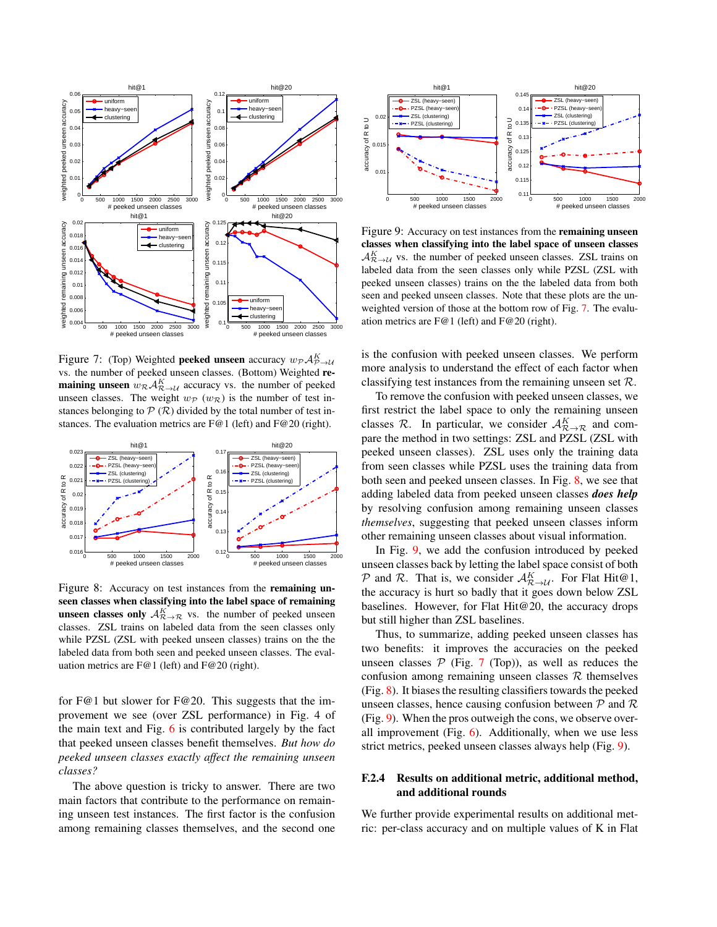<span id="page-8-1"></span>

Figure 7: (Top) Weighted **peeked unseen** accuracy  $w_{\mathcal{P}} A_{\mathcal{P}\rightarrow\mathcal{U}}^K$ vs. the number of peeked unseen classes. (Bottom) Weighted re**maining unseen**  $w_R \mathcal{A}_{\mathcal{R}\to\mathcal{U}}^K$  accuracy vs. the number of peeked unseen classes. The weight  $w_P(w_R)$  is the number of test instances belonging to  $P(R)$  divided by the total number of test instances. The evaluation metrics are F@1 (left) and F@20 (right).

<span id="page-8-2"></span>

Figure 8: Accuracy on test instances from the remaining unseen classes when classifying into the label space of remaining **unseen classes only**  $A_{\mathcal{R}\to\mathcal{R}}^K$  vs. the number of peeked unseen classes. ZSL trains on labeled data from the seen classes only while PZSL (ZSL with peeked unseen classes) trains on the the labeled data from both seen and peeked unseen classes. The evaluation metrics are F@1 (left) and F@20 (right).

for F@1 but slower for F@20. This suggests that the improvement we see (over ZSL performance) in Fig. 4 of the main text and Fig. [6](#page-7-0) is contributed largely by the fact that peeked unseen classes benefit themselves. *But how do peeked unseen classes exactly affect the remaining unseen classes?*

The above question is tricky to answer. There are two main factors that contribute to the performance on remaining unseen test instances. The first factor is the confusion among remaining classes themselves, and the second one

<span id="page-8-3"></span>

Figure 9: Accuracy on test instances from the remaining unseen classes when classifying into the label space of unseen classes  $\mathcal{A}_{\mathcal{R}\to\mathcal{U}}^K$  vs. the number of peeked unseen classes. ZSL trains on labeled data from the seen classes only while PZSL (ZSL with peeked unseen classes) trains on the the labeled data from both seen and peeked unseen classes. Note that these plots are the unweighted version of those at the bottom row of Fig. [7.](#page-8-1) The evaluation metrics are F@1 (left) and F@20 (right).

is the confusion with peeked unseen classes. We perform more analysis to understand the effect of each factor when classifying test instances from the remaining unseen set  $\mathcal{R}$ .

To remove the confusion with peeked unseen classes, we first restrict the label space to only the remaining unseen classes  $\mathcal{R}$ . In particular, we consider  $\mathcal{A}_{\mathcal{R}\rightarrow\mathcal{R}}^K$  and compare the method in two settings: ZSL and PZSL (ZSL with peeked unseen classes). ZSL uses only the training data from seen classes while PZSL uses the training data from both seen and peeked unseen classes. In Fig. [8,](#page-8-2) we see that adding labeled data from peeked unseen classes *does help* by resolving confusion among remaining unseen classes *themselves*, suggesting that peeked unseen classes inform other remaining unseen classes about visual information.

In Fig. [9,](#page-8-3) we add the confusion introduced by peeked unseen classes back by letting the label space consist of both P and R. That is, we consider  $\mathcal{A}_{\mathcal{R}\to\mathcal{U}}^K$ . For Flat Hit@1, the accuracy is hurt so badly that it goes down below ZSL baselines. However, for Flat Hit@20, the accuracy drops but still higher than ZSL baselines.

Thus, to summarize, adding peeked unseen classes has two benefits: it improves the accuracies on the peeked unseen classes  $P$  (Fig. [7](#page-8-1) (Top)), as well as reduces the confusion among remaining unseen classes  $R$  themselves (Fig. [8\)](#page-8-2). It biases the resulting classifiers towards the peeked unseen classes, hence causing confusion between  $P$  and  $R$ (Fig. [9\)](#page-8-3). When the pros outweigh the cons, we observe overall improvement (Fig. [6\)](#page-7-0). Additionally, when we use less strict metrics, peeked unseen classes always help (Fig. [9\)](#page-8-3).

### <span id="page-8-0"></span>F.2.4 Results on additional metric, additional method, and additional rounds

We further provide experimental results on additional metric: per-class accuracy and on multiple values of K in Flat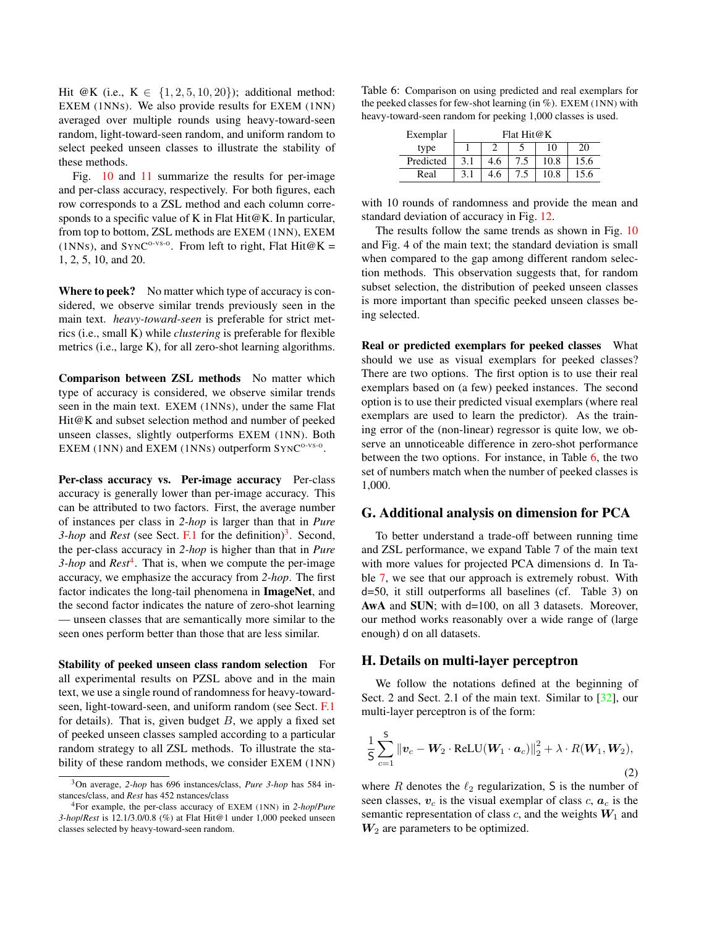<span id="page-9-5"></span>Hit @K (i.e.,  $K \in \{1, 2, 5, 10, 20\}$ ); additional method: EXEM (1NNS). We also provide results for EXEM (1NN) averaged over multiple rounds using heavy-toward-seen random, light-toward-seen random, and uniform random to select peeked unseen classes to illustrate the stability of these methods.

Fig. [10](#page-10-0) and [11](#page-10-1) summarize the results for per-image and per-class accuracy, respectively. For both figures, each row corresponds to a ZSL method and each column corresponds to a specific value of K in Flat Hit@K. In particular, from top to bottom, ZSL methods are EXEM (1NN), EXEM (1NNs), and SYNC<sup>o-vs-o</sup>. From left to right, Flat Hit $@K =$ 1, 2, 5, 10, and 20.

Where to peek? No matter which type of accuracy is considered, we observe similar trends previously seen in the main text. *heavy-toward-seen* is preferable for strict metrics (i.e., small K) while *clustering* is preferable for flexible metrics (i.e., large K), for all zero-shot learning algorithms.

Comparison between ZSL methods No matter which type of accuracy is considered, we observe similar trends seen in the main text. EXEM (1NNS), under the same Flat Hit@K and subset selection method and number of peeked unseen classes, slightly outperforms EXEM (1NN). Both EXEM (1NN) and EXEM (1NNs) outperform SYNC<sup>O-VS-O</sup>.

Per-class accuracy vs. Per-image accuracy Per-class accuracy is generally lower than per-image accuracy. This can be attributed to two factors. First, the average number of instances per class in *2-hop* is larger than that in *Pure*  $3$ -hop and *Rest* (see Sect. [F.1](#page-6-4) for the definition)<sup>3</sup>. Second, the per-class accuracy in *2-hop* is higher than that in *Pure* 3-hop and *Rest*<sup>[4](#page-9-3)</sup>. That is, when we compute the per-image accuracy, we emphasize the accuracy from *2-hop*. The first factor indicates the long-tail phenomena in ImageNet, and the second factor indicates the nature of zero-shot learning — unseen classes that are semantically more similar to the seen ones perform better than those that are less similar.

Stability of peeked unseen class random selection For all experimental results on PZSL above and in the main text, we use a single round of randomness for heavy-towardseen, light-toward-seen, and uniform random (see Sect. [F.1](#page-6-4) for details). That is, given budget  $B$ , we apply a fixed set of peeked unseen classes sampled according to a particular random strategy to all ZSL methods. To illustrate the stability of these random methods, we consider EXEM (1NN)

<span id="page-9-4"></span>Table 6: Comparison on using predicted and real exemplars for the peeked classes for few-shot learning (in %). EXEM (1NN) with heavy-toward-seen random for peeking 1,000 classes is used.

| Exemplar  | Flat Hit@K |     |     |      |      |  |  |
|-----------|------------|-----|-----|------|------|--|--|
| type      |            |     |     | 10   |      |  |  |
| Predicted | 3.1        | 4.6 | 7.5 | 10.8 | 15.6 |  |  |
| Real      | 3.1        | 4.6 |     | 10.8 | 15.6 |  |  |

with 10 rounds of randomness and provide the mean and standard deviation of accuracy in Fig. [12.](#page-12-5)

The results follow the same trends as shown in Fig. [10](#page-10-0) and Fig. 4 of the main text; the standard deviation is small when compared to the gap among different random selection methods. This observation suggests that, for random subset selection, the distribution of peeked unseen classes is more important than specific peeked unseen classes being selected.

Real or predicted exemplars for peeked classes What should we use as visual exemplars for peeked classes? There are two options. The first option is to use their real exemplars based on (a few) peeked instances. The second option is to use their predicted visual exemplars (where real exemplars are used to learn the predictor). As the training error of the (non-linear) regressor is quite low, we observe an unnoticeable difference in zero-shot performance between the two options. For instance, in Table [6,](#page-9-4) the two set of numbers match when the number of peeked classes is 1,000.

#### <span id="page-9-0"></span>G. Additional analysis on dimension for PCA

To better understand a trade-off between running time and ZSL performance, we expand Table 7 of the main text with more values for projected PCA dimensions d. In Table [7,](#page-11-28) we see that our approach is extremely robust. With d=50, it still outperforms all baselines (cf. Table 3) on AwA and SUN; with d=100, on all 3 datasets. Moreover, our method works reasonably over a wide range of (large enough) d on all datasets.

#### <span id="page-9-1"></span>H. Details on multi-layer perceptron

We follow the notations defined at the beginning of Sect. 2 and Sect. 2.1 of the main text. Similar to [\[32\]](#page-12-4), our multi-layer perceptron is of the form:

$$
\frac{1}{S} \sum_{c=1}^{S} \|\boldsymbol{v}_c - \boldsymbol{W}_2 \cdot \text{ReLU}(\boldsymbol{W}_1 \cdot \boldsymbol{a}_c)\|_2^2 + \lambda \cdot R(\boldsymbol{W}_1, \boldsymbol{W}_2),
$$
\n(2)

where R denotes the  $\ell_2$  regularization, S is the number of seen classes,  $v_c$  is the visual exemplar of class c,  $a_c$  is the semantic representation of class  $c$ , and the weights  $W_1$  and  $W_2$  are parameters to be optimized.

<span id="page-9-2"></span><sup>3</sup>On average, *2-hop* has 696 instances/class, *Pure 3-hop* has 584 instances/class, and *Rest* has 452 nstances/class

<span id="page-9-3"></span><sup>4</sup>For example, the per-class accuracy of EXEM (1NN) in *2-hop*/*Pure 3-hop*/*Rest* is 12.1/3.0/0.8 (%) at Flat Hit@1 under 1,000 peeked unseen classes selected by heavy-toward-seen random.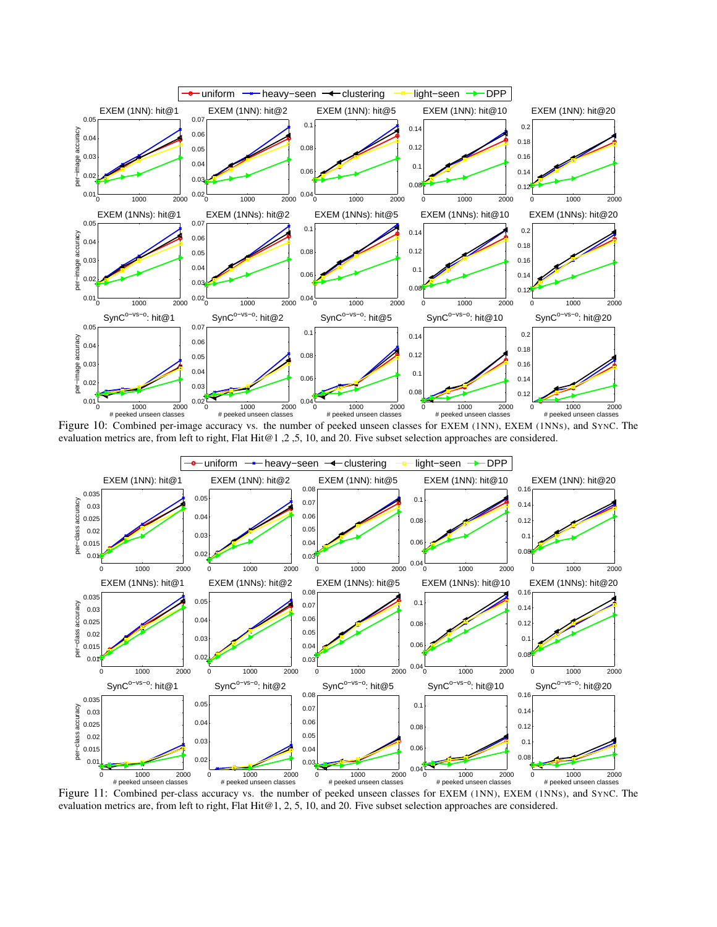<span id="page-10-0"></span>

Figure 10: Combined per-image accuracy vs. the number of peeked unseen classes for EXEM (1NN), EXEM (1NNS), and SYNC. The evaluation metrics are, from left to right, Flat Hit@1,2,5, 10, and 20. Five subset selection approaches are considered.

<span id="page-10-1"></span>

Figure 11: Combined per-class accuracy vs. the number of peeked unseen classes for EXEM (1NN), EXEM (1NNS), and SYNC. The evaluation metrics are, from left to right, Flat Hit@1, 2, 5, 10, and 20. Five subset selection approaches are considered.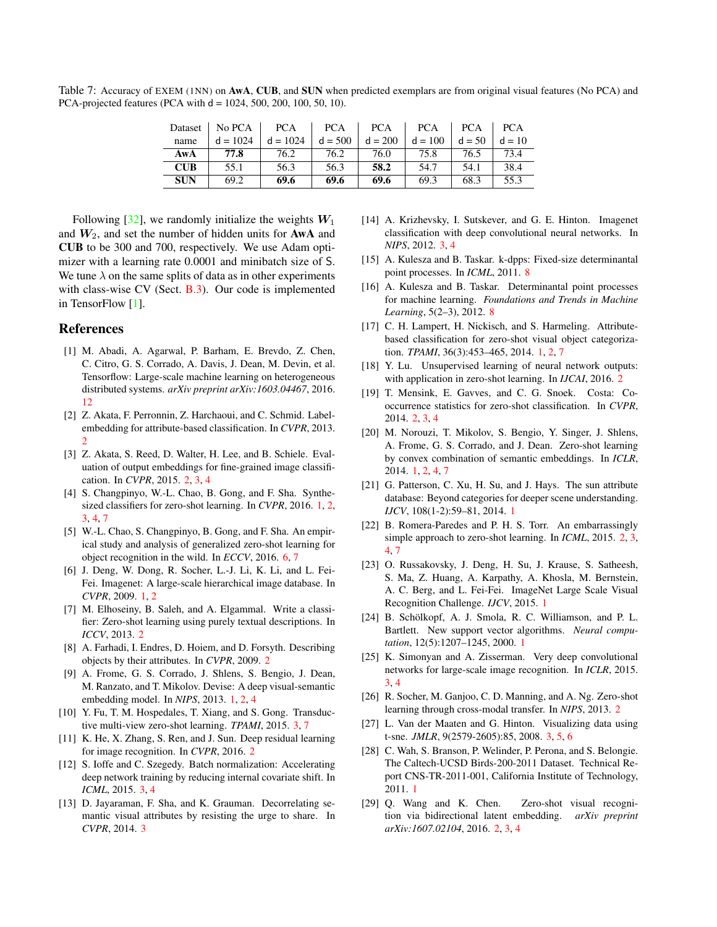<span id="page-11-30"></span><span id="page-11-28"></span>Table 7: Accuracy of EXEM (1NN) on AwA, CUB, and SUN when predicted exemplars are from original visual features (No PCA) and PCA-projected features (PCA with d = 1024, 500, 200, 100, 50, 10).

| Dataset    | No PCA     | <b>PCA</b> | <b>PCA</b> | <b>PCA</b> | <b>PCA</b> | <b>PCA</b> | <b>PCA</b> |
|------------|------------|------------|------------|------------|------------|------------|------------|
| name       | $d = 1024$ | $d = 1024$ | $d = 500$  | $d = 200$  | $d = 100$  | $d = 50$   | $d = 10$   |
| AwA        | 77.8       | 76.2       | 76.2       | 76.0       | 75.8       | 76.5       | 73.4       |
| <b>CUB</b> | 55.1       | 56.3       | 56.3       | 58.2       | 54.7       | 54.1       | 38.4       |
| <b>SUN</b> | 69.2       | 69.6       | 69.6       | 69.6       | 69.3       | 68.3       | 55.3       |

Following  $[32]$ , we randomly initialize the weights  $W_1$ and  $W_2$ , and set the number of hidden units for **AwA** and CUB to be 300 and 700, respectively. We use Adam optimizer with a learning rate 0.0001 and minibatch size of S. We tune  $\lambda$  on the same splits of data as in other experiments with class-wise CV (Sect. [B.3\)](#page-1-1). Our code is implemented in TensorFlow [\[1\]](#page-11-29).

# References

- <span id="page-11-29"></span>[1] M. Abadi, A. Agarwal, P. Barham, E. Brevdo, Z. Chen, C. Citro, G. S. Corrado, A. Davis, J. Dean, M. Devin, et al. Tensorflow: Large-scale machine learning on heterogeneous distributed systems. *arXiv preprint arXiv:1603.04467*, 2016. [12](#page-11-30)
- <span id="page-11-13"></span>[2] Z. Akata, F. Perronnin, Z. Harchaoui, and C. Schmid. Labelembedding for attribute-based classification. In *CVPR*, 2013.  $\overline{2}$  $\overline{2}$  $\overline{2}$
- <span id="page-11-9"></span>[3] Z. Akata, S. Reed, D. Walter, H. Lee, and B. Schiele. Evaluation of output embeddings for fine-grained image classification. In *CVPR*, 2015. [2,](#page-1-5) [3,](#page-2-2) [4](#page-3-2)
- <span id="page-11-4"></span>[4] S. Changpinyo, W.-L. Chao, B. Gong, and F. Sha. Synthesized classifiers for zero-shot learning. In *CVPR*, 2016. [1,](#page-0-2) [2,](#page-1-5) [3,](#page-2-2) [4,](#page-3-2) [7](#page-6-5)
- <span id="page-11-25"></span>[5] W.-L. Chao, S. Changpinyo, B. Gong, and F. Sha. An empirical study and analysis of generalized zero-shot learning for object recognition in the wild. In *ECCV*, 2016. [6,](#page-5-2) [7](#page-6-5)
- <span id="page-11-5"></span>[6] J. Deng, W. Dong, R. Socher, L.-J. Li, K. Li, and L. Fei-Fei. Imagenet: A large-scale hierarchical image database. In *CVPR*, 2009. [1,](#page-0-2) [2](#page-1-5)
- <span id="page-11-18"></span>[7] M. Elhoseiny, B. Saleh, and A. Elgammal. Write a classifier: Zero-shot learning using purely textual descriptions. In *ICCV*, 2013. [2](#page-1-5)
- <span id="page-11-15"></span>[8] A. Farhadi, I. Endres, D. Hoiem, and D. Forsyth. Describing objects by their attributes. In *CVPR*, 2009. [2](#page-1-5)
- <span id="page-11-6"></span>[9] A. Frome, G. S. Corrado, J. Shlens, S. Bengio, J. Dean, M. Ranzato, and T. Mikolov. Devise: A deep visual-semantic embedding model. In *NIPS*, 2013. [1,](#page-0-2) [2,](#page-1-5) [4](#page-3-2)
- <span id="page-11-23"></span>[10] Y. Fu, T. M. Hospedales, T. Xiang, and S. Gong. Transductive multi-view zero-shot learning. *TPAMI*, 2015. [3,](#page-2-2) [7](#page-6-5)
- <span id="page-11-12"></span>[11] K. He, X. Zhang, S. Ren, and J. Sun. Deep residual learning for image recognition. In *CVPR*, 2016. [2](#page-1-5)
- <span id="page-11-21"></span>[12] S. Ioffe and C. Szegedy. Batch normalization: Accelerating deep network training by reducing internal covariate shift. In *ICML*, 2015. [3,](#page-2-2) [4](#page-3-2)
- <span id="page-11-24"></span>[13] D. Jayaraman, F. Sha, and K. Grauman. Decorrelating semantic visual attributes by resisting the urge to share. In *CVPR*, 2014. [3](#page-2-2)
- <span id="page-11-22"></span>[14] A. Krizhevsky, I. Sutskever, and G. E. Hinton. Imagenet classification with deep convolutional neural networks. In *NIPS*, 2012. [3,](#page-2-2) [4](#page-3-2)
- <span id="page-11-27"></span>[15] A. Kulesza and B. Taskar. k-dpps: Fixed-size determinantal point processes. In *ICML*, 2011. [8](#page-7-1)
- <span id="page-11-26"></span>[16] A. Kulesza and B. Taskar. Determinantal point processes for machine learning. *Foundations and Trends in Machine Learning*, 5(2–3), 2012. [8](#page-7-1)
- <span id="page-11-1"></span>[17] C. H. Lampert, H. Nickisch, and S. Harmeling. Attributebased classification for zero-shot visual object categorization. *TPAMI*, 36(3):453–465, 2014. [1,](#page-0-2) [2,](#page-1-5) [7](#page-6-5)
- <span id="page-11-17"></span>[18] Y. Lu. Unsupervised learning of neural network outputs: with application in zero-shot learning. In *IJCAI*, 2016. [2](#page-1-5)
- <span id="page-11-11"></span>[19] T. Mensink, E. Gavves, and C. G. Snoek. Costa: Cooccurrence statistics for zero-shot classification. In *CVPR*, 2014. [2,](#page-1-5) [3,](#page-2-2) [4](#page-3-2)
- <span id="page-11-7"></span>[20] M. Norouzi, T. Mikolov, S. Bengio, Y. Singer, J. Shlens, A. Frome, G. S. Corrado, and J. Dean. Zero-shot learning by convex combination of semantic embeddings. In *ICLR*, 2014. [1,](#page-0-2) [2,](#page-1-5) [4,](#page-3-2) [7](#page-6-5)
- <span id="page-11-3"></span>[21] G. Patterson, C. Xu, H. Su, and J. Hays. The sun attribute database: Beyond categories for deeper scene understanding. *IJCV*, 108(1-2):59–81, 2014. [1](#page-0-2)
- <span id="page-11-10"></span>[22] B. Romera-Paredes and P. H. S. Torr. An embarrassingly simple approach to zero-shot learning. In *ICML*, 2015. [2,](#page-1-5) [3,](#page-2-2) [4,](#page-3-2) [7](#page-6-5)
- <span id="page-11-8"></span>[23] O. Russakovsky, J. Deng, H. Su, J. Krause, S. Satheesh, S. Ma, Z. Huang, A. Karpathy, A. Khosla, M. Bernstein, A. C. Berg, and L. Fei-Fei. ImageNet Large Scale Visual Recognition Challenge. *IJCV*, 2015. [1](#page-0-2)
- <span id="page-11-0"></span>[24] B. Schölkopf, A. J. Smola, R. C. Williamson, and P. L. Bartlett. New support vector algorithms. *Neural computation*, 12(5):1207–1245, 2000. [1](#page-0-2)
- <span id="page-11-20"></span>[25] K. Simonyan and A. Zisserman. Very deep convolutional networks for large-scale image recognition. In *ICLR*, 2015. [3,](#page-2-2) [4](#page-3-2)
- <span id="page-11-14"></span>[26] R. Socher, M. Ganjoo, C. D. Manning, and A. Ng. Zero-shot learning through cross-modal transfer. In *NIPS*, 2013. [2](#page-1-5)
- <span id="page-11-19"></span>[27] L. Van der Maaten and G. Hinton. Visualizing data using t-sne. *JMLR*, 9(2579-2605):85, 2008. [3,](#page-2-2) [5,](#page-4-3) [6](#page-5-2)
- <span id="page-11-2"></span>[28] C. Wah, S. Branson, P. Welinder, P. Perona, and S. Belongie. The Caltech-UCSD Birds-200-2011 Dataset. Technical Report CNS-TR-2011-001, California Institute of Technology, 2011. [1](#page-0-2)
- <span id="page-11-16"></span>[29] Q. Wang and K. Chen. Zero-shot visual recognition via bidirectional latent embedding. *arXiv preprint arXiv:1607.02104*, 2016. [2,](#page-1-5) [3,](#page-2-2) [4](#page-3-2)